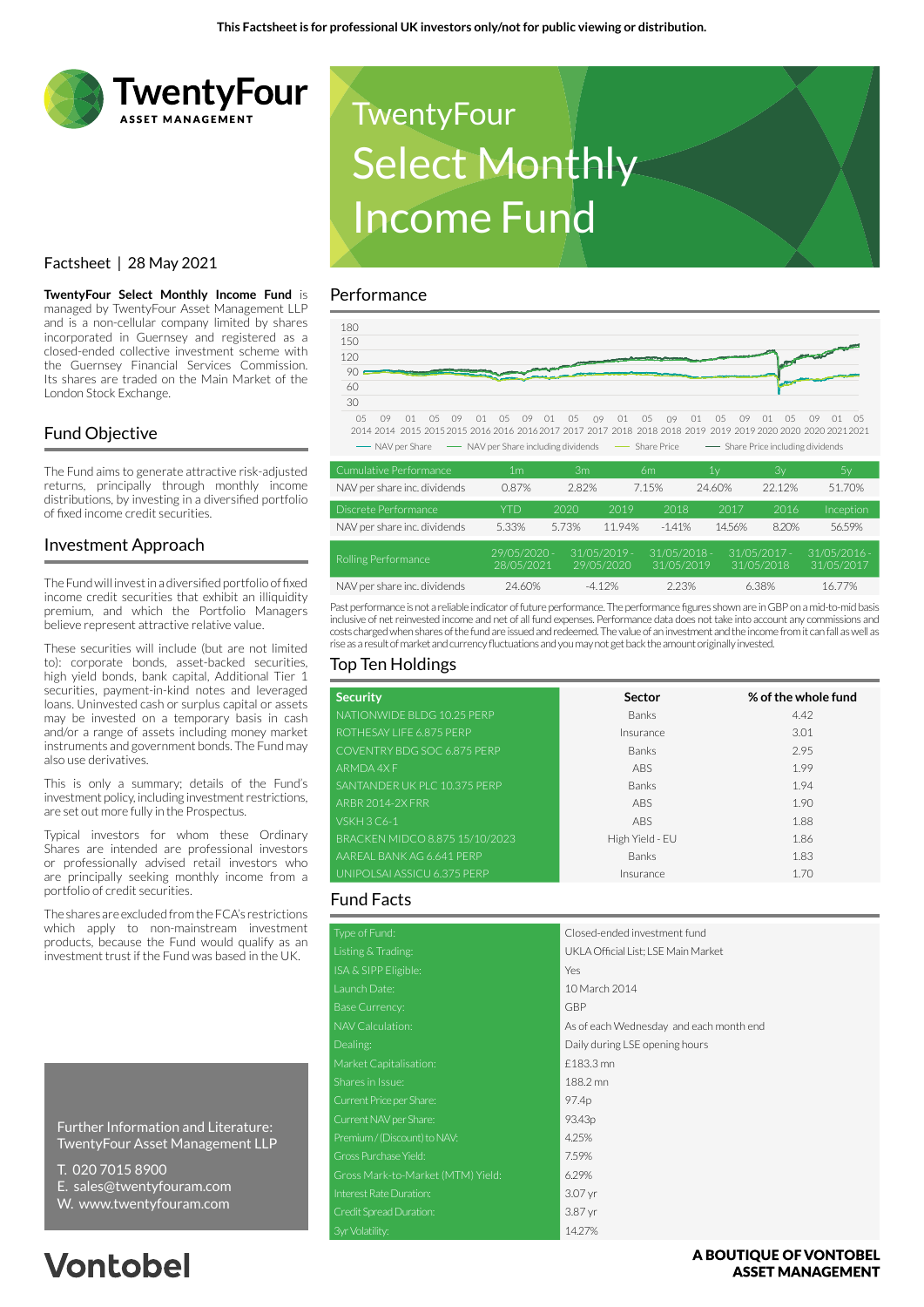

## Factsheet | 28 May 2021

**TwentyFour Select Monthly Income Fund** is managed by TwentyFour Asset Management LLP and is a non-cellular company limited by shares incorporated in Guernsey and registered as a closed-ended collective investment scheme with the Guernsey Financial Services Commission. Its shares are traded on the Main Market of the London Stock Exchange.

## Fund Objective

The Fund aims to generate attractive risk-adjusted returns, principally through monthly income distributions, by investing in a diversified portfolio of fixed income credit securities.

#### Investment Approach

The Fund will invest in a diversified portfolio of fixed income credit securities that exhibit an illiquidity premium, and which the Portfolio Managers believe represent attractive relative value.

These securities will include (but are not limited to): corporate bonds, asset-backed securities, high yield bonds, bank capital, Additional Tier 1 securities, payment-in-kind notes and leveraged loans. Uninvested cash or surplus capital or assets may be invested on a temporary basis in cash and/or a range of assets including money market instruments and government bonds. The Fund may also use derivatives.

This is only a summary; details of the Fund's investment policy, including investment restrictions, are set out more fully in the Prospectus.

Typical investors for whom these Ordinary Shares are intended are professional investors or professionally advised retail investors who are principally seeking monthly income from a portfolio of credit securities.

The shares are excluded from the FCA's restrictions which apply to non-mainstream investment products, because the Fund would qualify as an investment trust if the Fund was based in the UK.

Further Information and Literature: TwentyFour Asset Management LLP

- T. 020 7015 8900
- E. sales@twentyfouram.com
- W. www.twentyfouram.com

# **Vontobel**



#### Performance



| Cumulative Performance       | 1m                         | 3 <sub>m</sub> |                              | 6m                           | 1ν     | Зγ                           | 5у                           |
|------------------------------|----------------------------|----------------|------------------------------|------------------------------|--------|------------------------------|------------------------------|
| NAV per share inc. dividends | 0.87%                      | 2.82%          |                              | 7.15%                        | 24.60% | 22.12%                       | 51.70%                       |
| Discrete Performance         | <b>YTD</b>                 | 2020           | 2019                         | 2018                         | 2017   | 2016                         | Inception                    |
| NAV per share inc. dividends | 5.33%                      | 5.73%          | 11.94%                       | $-1.41%$                     | 14.56% | 8.20%                        | 56.59%                       |
| Rolling Performance          | 29/05/2020 -<br>28/05/2021 |                | $31/05/2019 -$<br>29/05/2020 | $31/05/2018 -$<br>31/05/2019 |        | $31/05/2017 -$<br>31/05/2018 | $31/05/2016 -$<br>31/05/2017 |
| NAV per share inc. dividends | 24.60%                     |                | $-4.12%$                     | 2.23%                        |        | 6.38%                        | 16.77%                       |

Past performance is not a reliable indicator of future performance. The performance figures shown are in GBP on a mid-to-mid basis inclusive of net reinvested income and net of all fund expenses. Performance data does not take into account any commissions and costs charged when shares of the fund are issued and redeemed. The value of an investment and the income from it can fall as well as rise as a result of market and currency fluctuations and you may not get back the amount originally invested.

#### Top Ten Holdings

| <b>Security</b>                | Sector          | % of the whole fund |
|--------------------------------|-----------------|---------------------|
| NATIONWIDE BLDG 10.25 PERP     | <b>Banks</b>    | 4.42                |
| ROTHESAY LIFE 6.875 PERP       | Insurance       | 3.01                |
| COVENTRY BDG SOC 6.875 PERP    | <b>Banks</b>    | 2.95                |
| <b>ARMDA 4XF</b>               | ABS             | 1.99                |
| SANTANDER UK PLC 10.375 PERP   | <b>Banks</b>    | 1.94                |
| <b>ARBR 2014-2X FRR</b>        | <b>ABS</b>      | 1.90                |
| <b>VSKH 3 C6-1</b>             | ABS             | 1.88                |
| BRACKEN MIDCO 8.875 15/10/2023 | High Yield - EU | 1.86                |
| AAREAL BANK AG 6.641 PERP      | <b>Banks</b>    | 1.83                |
| UNIPOLSAI ASSICU 6.375 PERP    | Insurance       | 1.70                |

#### Fund Facts

| Type of Fund:                     | Closed-ended investment fund            |  |  |
|-----------------------------------|-----------------------------------------|--|--|
| Listing & Trading:                | UKLA Official List; LSE Main Market     |  |  |
| ISA & SIPP Eligible:              | Yes                                     |  |  |
| Launch Date:                      | 10 March 2014                           |  |  |
| <b>Base Currency:</b>             | GBP                                     |  |  |
| NAV Calculation:                  | As of each Wednesday and each month end |  |  |
| Dealing:                          | Daily during LSE opening hours          |  |  |
| Market Capitalisation:            | £183.3 mn                               |  |  |
| Shares in Issue:                  | 188.2 mn                                |  |  |
| Current Price per Share:          | 97.4p                                   |  |  |
| Current NAV per Share:            | 93.43 <sub>p</sub>                      |  |  |
| Premium / (Discount) to NAV:      | 4.25%                                   |  |  |
| Gross Purchase Yield:             | 7.59%                                   |  |  |
| Gross Mark-to-Market (MTM) Yield: | 6.29%                                   |  |  |
| Interest Rate Duration:           | 3.07 yr                                 |  |  |
| Credit Spread Duration:           | 3.87 yr                                 |  |  |
| 3yr Volatility:                   | 14.27%                                  |  |  |

A BOUTIOUE OF VONTOBEL **ASSET MANAGEMENT**